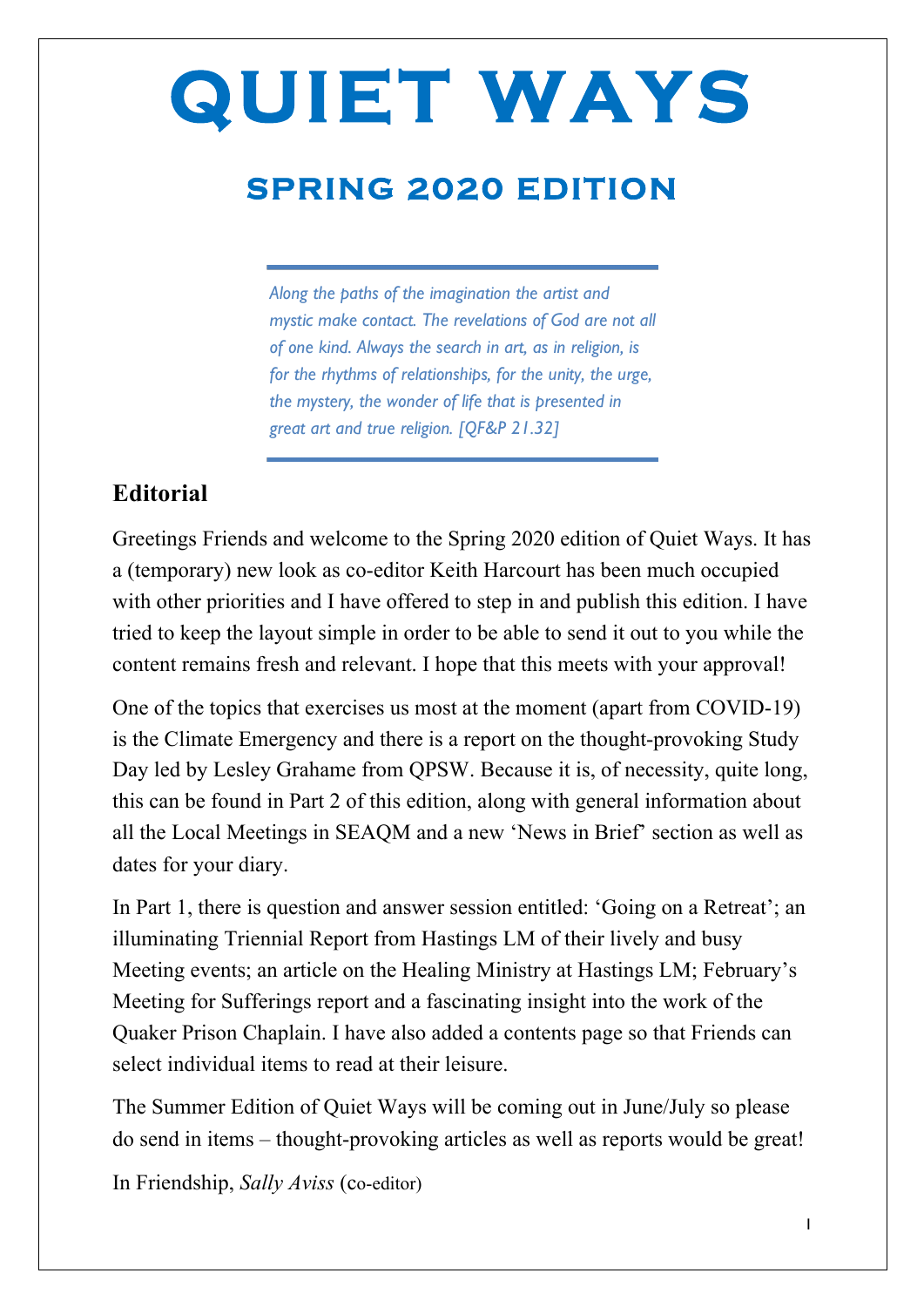## **SPRING 2020 EDITION**

*Along the paths of the imagination the artist and mystic make contact. The revelations of God are not all of one kind. Always the search in art, as in religion, is for the rhythms of relationships, for the unity, the urge, the mystery, the wonder of life that is presented in great art and true religion. [QF&P 21.32]*

#### **Editorial**

Greetings Friends and welcome to the Spring 2020 edition of Quiet Ways. It has a (temporary) new look as co-editor Keith Harcourt has been much occupied with other priorities and I have offered to step in and publish this edition. I have tried to keep the layout simple in order to be able to send it out to you while the content remains fresh and relevant. I hope that this meets with your approval!

One of the topics that exercises us most at the moment (apart from COVID-19) is the Climate Emergency and there is a report on the thought-provoking Study Day led by Lesley Grahame from QPSW. Because it is, of necessity, quite long, this can be found in Part 2 of this edition, along with general information about all the Local Meetings in SEAQM and a new 'News in Brief' section as well as dates for your diary.

In Part 1, there is question and answer session entitled: 'Going on a Retreat'; an illuminating Triennial Report from Hastings LM of their lively and busy Meeting events; an article on the Healing Ministry at Hastings LM; February's Meeting for Sufferings report and a fascinating insight into the work of the Quaker Prison Chaplain. I have also added a contents page so that Friends can select individual items to read at their leisure.

The Summer Edition of Quiet Ways will be coming out in June/July so please do send in items – thought-provoking articles as well as reports would be great!

In Friendship, *Sally Aviss* (co-editor)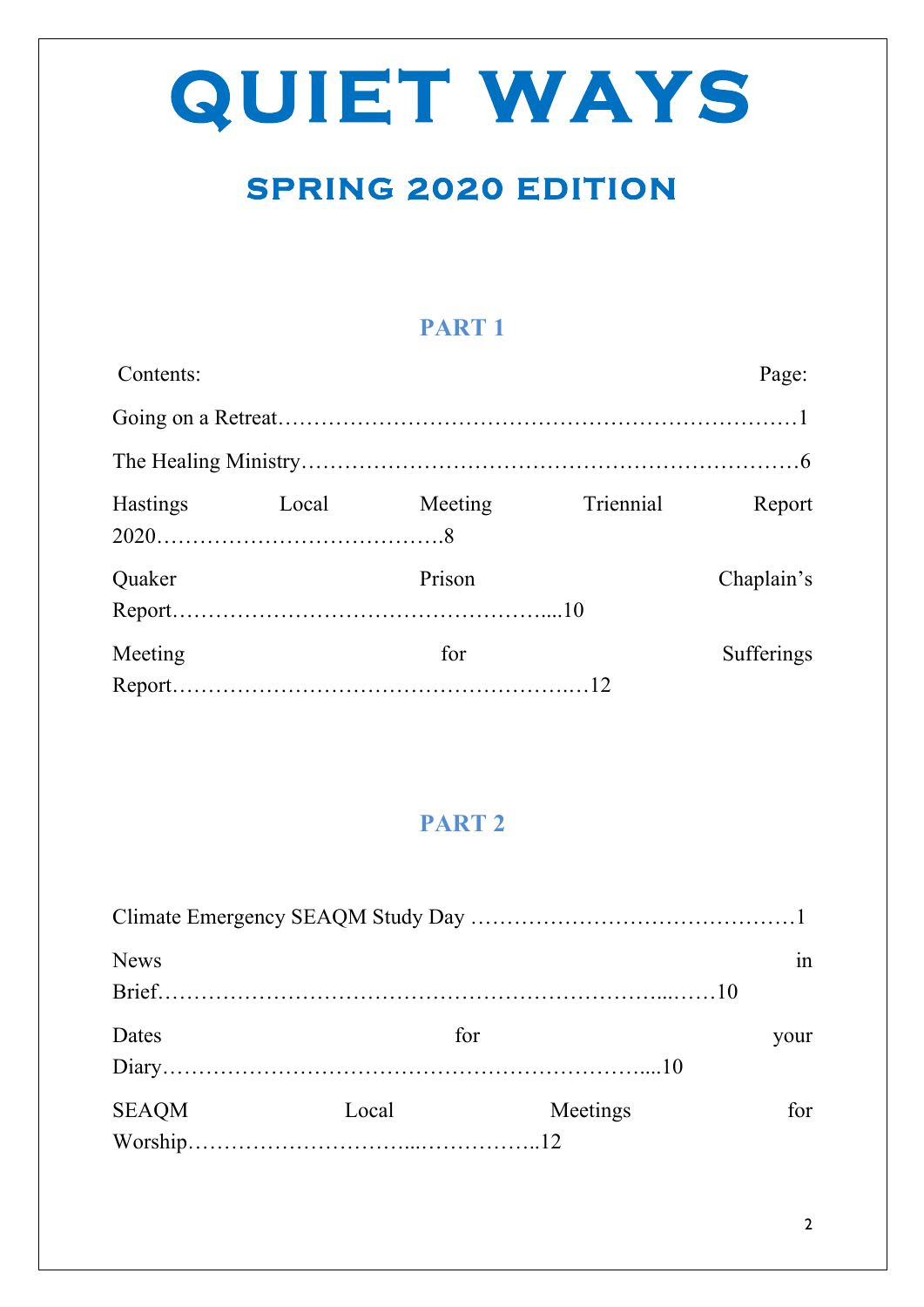## **SPRING 2020 EDITION**

### **PART 1**

| Contents:       |       |         |           | Page:             |
|-----------------|-------|---------|-----------|-------------------|
|                 |       |         |           |                   |
|                 |       |         |           |                   |
| <b>Hastings</b> | Local | Meeting | Triennial | Report            |
| Quaker          |       | Prison  |           | Chaplain's        |
| Meeting         |       | for     |           | <b>Sufferings</b> |

### **PART 2**

| <b>News</b>  |       |          | in   |
|--------------|-------|----------|------|
|              |       |          |      |
| Dates        | for   |          | your |
|              |       |          |      |
| <b>SEAQM</b> | Local | Meetings | for  |
|              |       |          |      |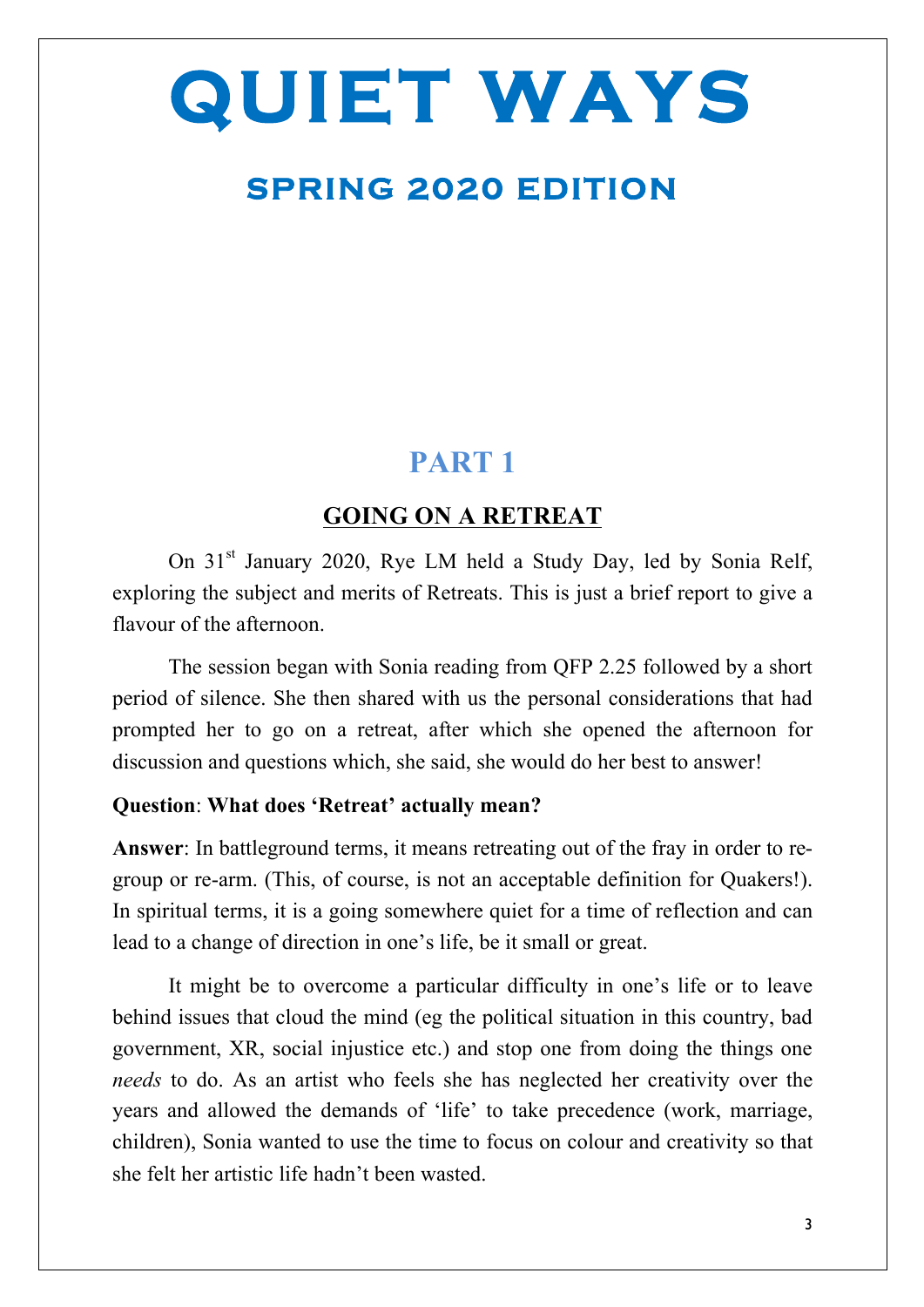## **SPRING 2020 EDITION**

### **PART 1**

#### **GOING ON A RETREAT**

On 31<sup>st</sup> January 2020, Rye LM held a Study Day, led by Sonia Relf, exploring the subject and merits of Retreats. This is just a brief report to give a flavour of the afternoon.

The session began with Sonia reading from QFP 2.25 followed by a short period of silence. She then shared with us the personal considerations that had prompted her to go on a retreat, after which she opened the afternoon for discussion and questions which, she said, she would do her best to answer!

#### **Question**: **What does 'Retreat' actually mean?**

**Answer**: In battleground terms, it means retreating out of the fray in order to regroup or re-arm. (This, of course, is not an acceptable definition for Quakers!). In spiritual terms, it is a going somewhere quiet for a time of reflection and can lead to a change of direction in one's life, be it small or great.

 It might be to overcome a particular difficulty in one's life or to leave behind issues that cloud the mind (eg the political situation in this country, bad government, XR, social injustice etc.) and stop one from doing the things one *needs* to do. As an artist who feels she has neglected her creativity over the years and allowed the demands of 'life' to take precedence (work, marriage, children), Sonia wanted to use the time to focus on colour and creativity so that she felt her artistic life hadn't been wasted.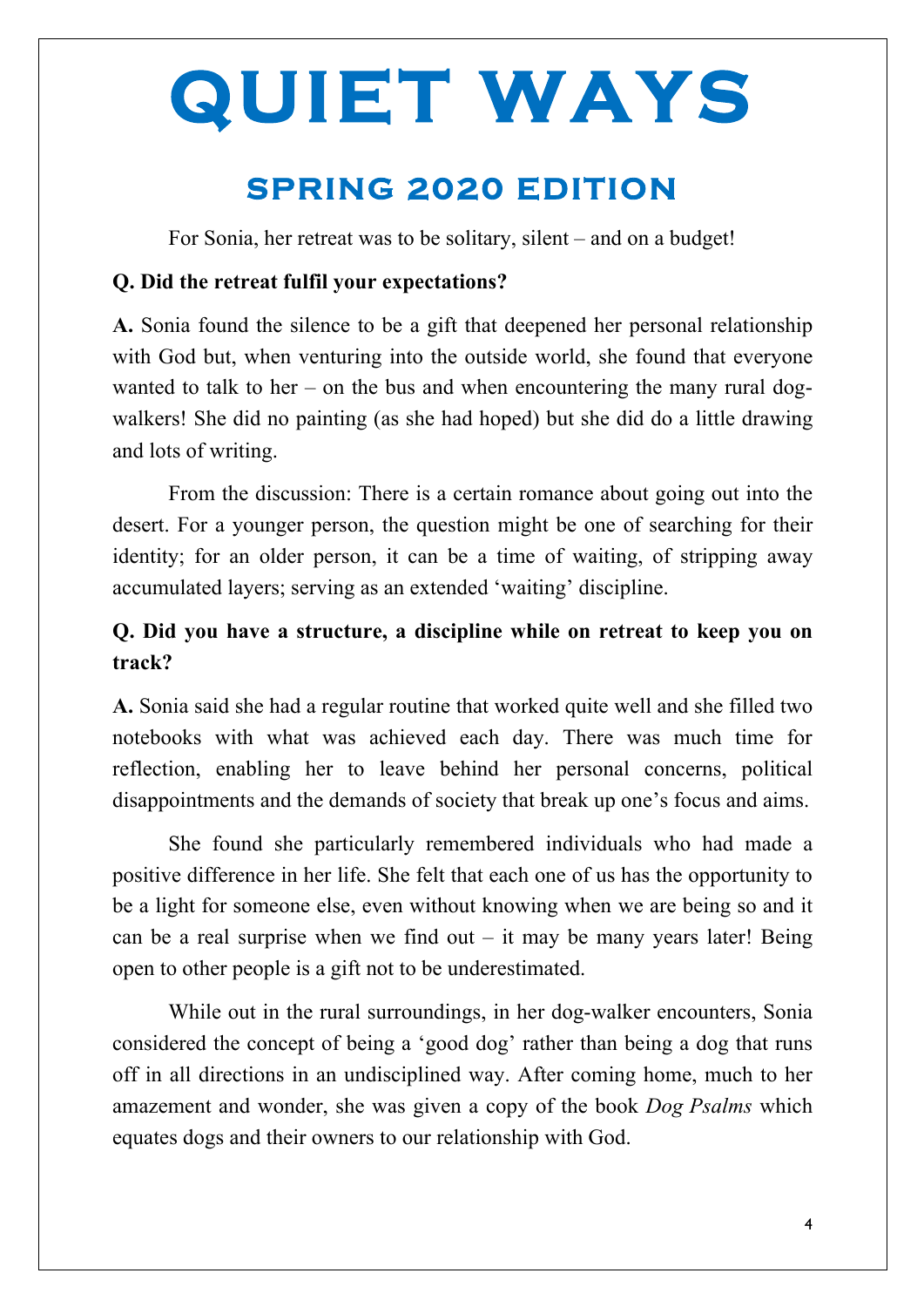## **SPRING 2020 EDITION**

For Sonia, her retreat was to be solitary, silent – and on a budget!

#### **Q. Did the retreat fulfil your expectations?**

**A.** Sonia found the silence to be a gift that deepened her personal relationship with God but, when venturing into the outside world, she found that everyone wanted to talk to her – on the bus and when encountering the many rural dogwalkers! She did no painting (as she had hoped) but she did do a little drawing and lots of writing.

From the discussion: There is a certain romance about going out into the desert. For a younger person, the question might be one of searching for their identity; for an older person, it can be a time of waiting, of stripping away accumulated layers; serving as an extended 'waiting' discipline.

#### **Q. Did you have a structure, a discipline while on retreat to keep you on track?**

**A.** Sonia said she had a regular routine that worked quite well and she filled two notebooks with what was achieved each day. There was much time for reflection, enabling her to leave behind her personal concerns, political disappointments and the demands of society that break up one's focus and aims.

She found she particularly remembered individuals who had made a positive difference in her life. She felt that each one of us has the opportunity to be a light for someone else, even without knowing when we are being so and it can be a real surprise when we find out  $-$  it may be many years later! Being open to other people is a gift not to be underestimated.

While out in the rural surroundings, in her dog-walker encounters, Sonia considered the concept of being a 'good dog' rather than being a dog that runs off in all directions in an undisciplined way. After coming home, much to her amazement and wonder, she was given a copy of the book *Dog Psalms* which equates dogs and their owners to our relationship with God.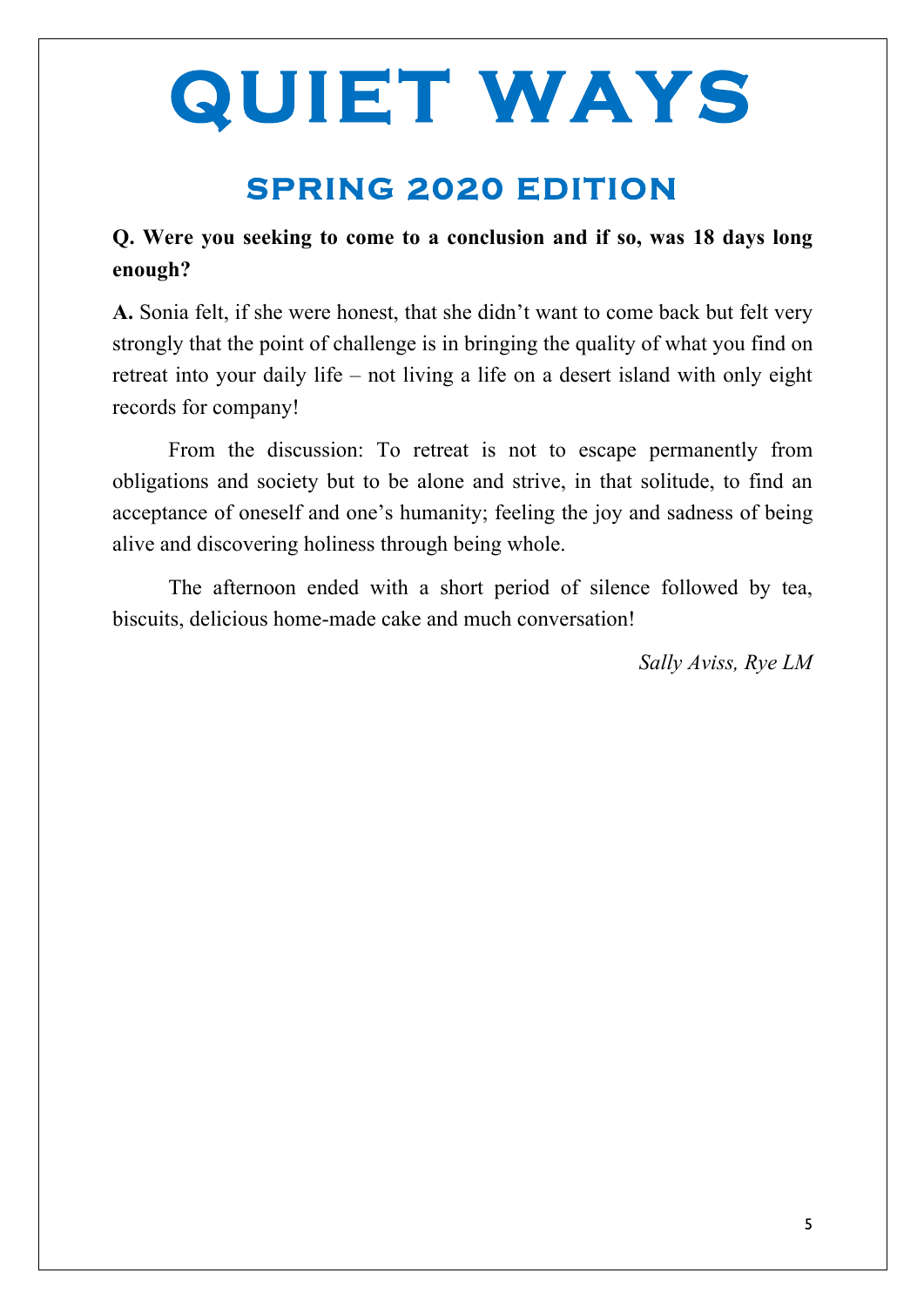## **SPRING 2020 EDITION**

#### **Q. Were you seeking to come to a conclusion and if so, was 18 days long enough?**

**A.** Sonia felt, if she were honest, that she didn't want to come back but felt very strongly that the point of challenge is in bringing the quality of what you find on retreat into your daily life – not living a life on a desert island with only eight records for company!

From the discussion: To retreat is not to escape permanently from obligations and society but to be alone and strive, in that solitude, to find an acceptance of oneself and one's humanity; feeling the joy and sadness of being alive and discovering holiness through being whole.

The afternoon ended with a short period of silence followed by tea, biscuits, delicious home-made cake and much conversation!

*Sally Aviss, Rye LM*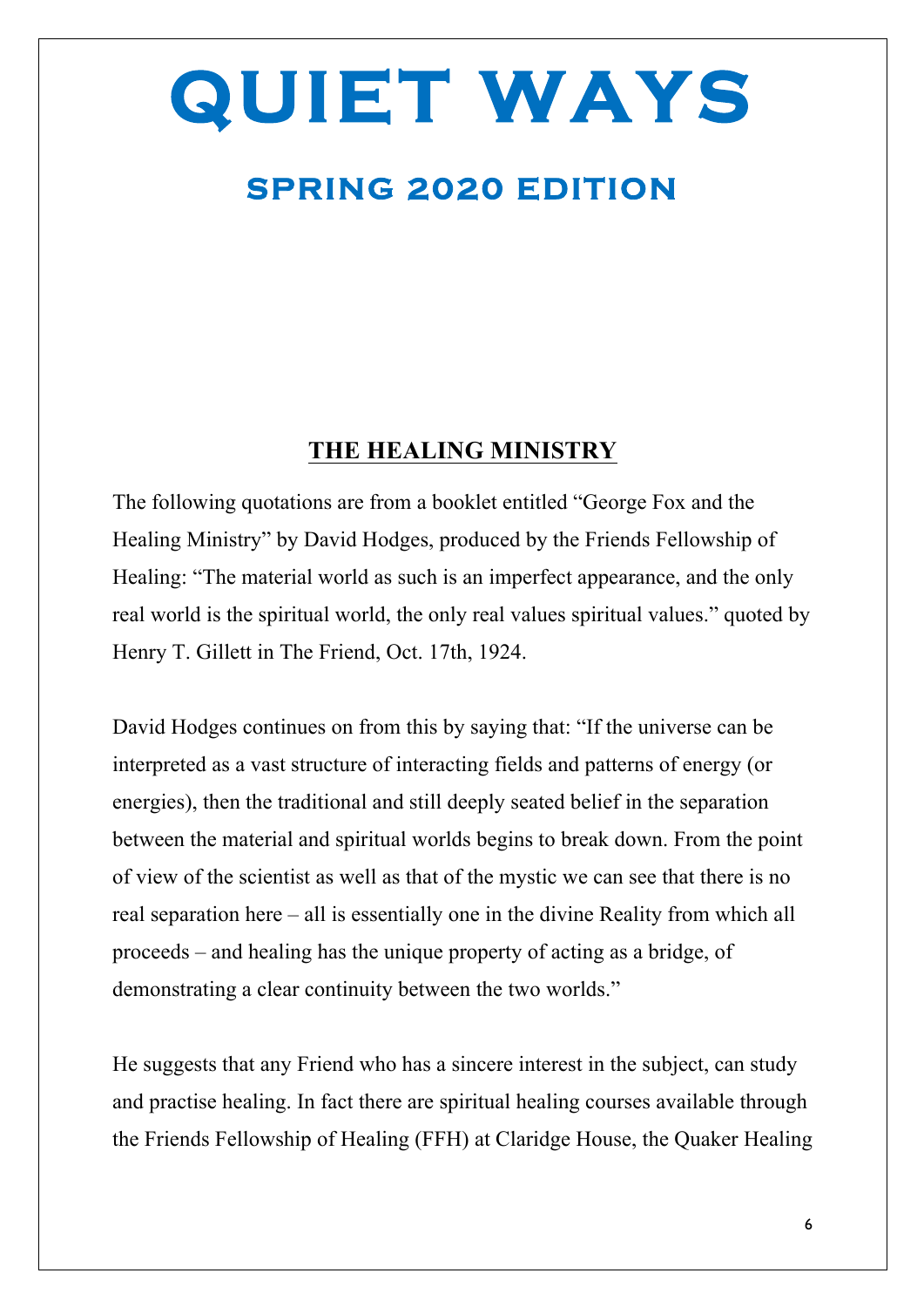## **SPRING 2020 EDITION**

#### **THE HEALING MINISTRY**

The following quotations are from a booklet entitled "George Fox and the Healing Ministry" by David Hodges, produced by the Friends Fellowship of Healing: "The material world as such is an imperfect appearance, and the only real world is the spiritual world, the only real values spiritual values." quoted by Henry T. Gillett in The Friend, Oct. 17th, 1924.

David Hodges continues on from this by saying that: "If the universe can be interpreted as a vast structure of interacting fields and patterns of energy (or energies), then the traditional and still deeply seated belief in the separation between the material and spiritual worlds begins to break down. From the point of view of the scientist as well as that of the mystic we can see that there is no real separation here – all is essentially one in the divine Reality from which all proceeds – and healing has the unique property of acting as a bridge, of demonstrating a clear continuity between the two worlds."

He suggests that any Friend who has a sincere interest in the subject, can study and practise healing. In fact there are spiritual healing courses available through the Friends Fellowship of Healing (FFH) at Claridge House, the Quaker Healing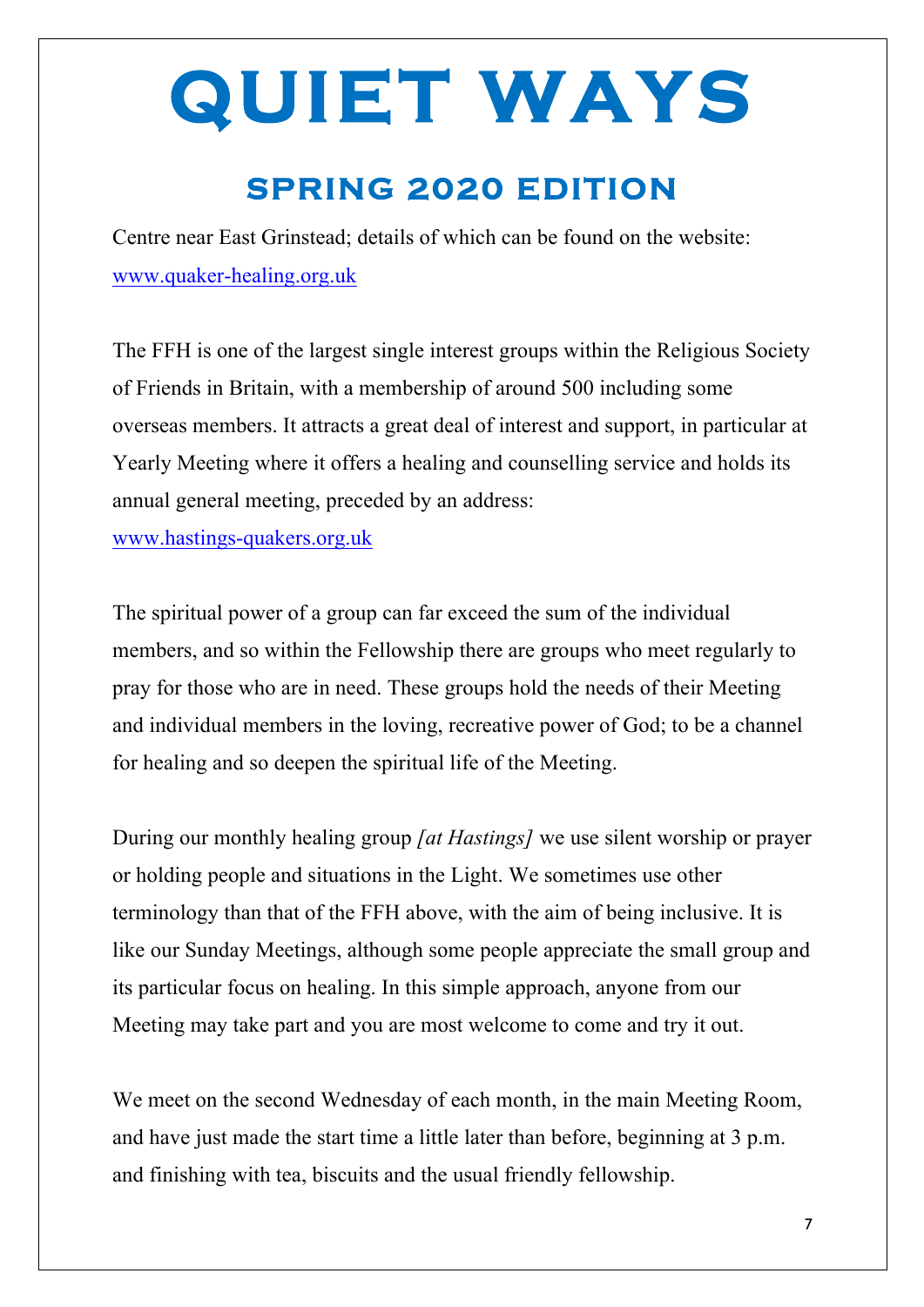## **SPRING 2020 EDITION**

Centre near East Grinstead; details of which can be found on the website: www.quaker-healing.org.uk

The FFH is one of the largest single interest groups within the Religious Society of Friends in Britain, with a membership of around 500 including some overseas members. It attracts a great deal of interest and support, in particular at Yearly Meeting where it offers a healing and counselling service and holds its annual general meeting, preceded by an address:

www.hastings-quakers.org.uk

The spiritual power of a group can far exceed the sum of the individual members, and so within the Fellowship there are groups who meet regularly to pray for those who are in need. These groups hold the needs of their Meeting and individual members in the loving, recreative power of God; to be a channel for healing and so deepen the spiritual life of the Meeting.

During our monthly healing group *[at Hastings]* we use silent worship or prayer or holding people and situations in the Light. We sometimes use other terminology than that of the FFH above, with the aim of being inclusive. It is like our Sunday Meetings, although some people appreciate the small group and its particular focus on healing. In this simple approach, anyone from our Meeting may take part and you are most welcome to come and try it out.

We meet on the second Wednesday of each month, in the main Meeting Room, and have just made the start time a little later than before, beginning at 3 p.m. and finishing with tea, biscuits and the usual friendly fellowship.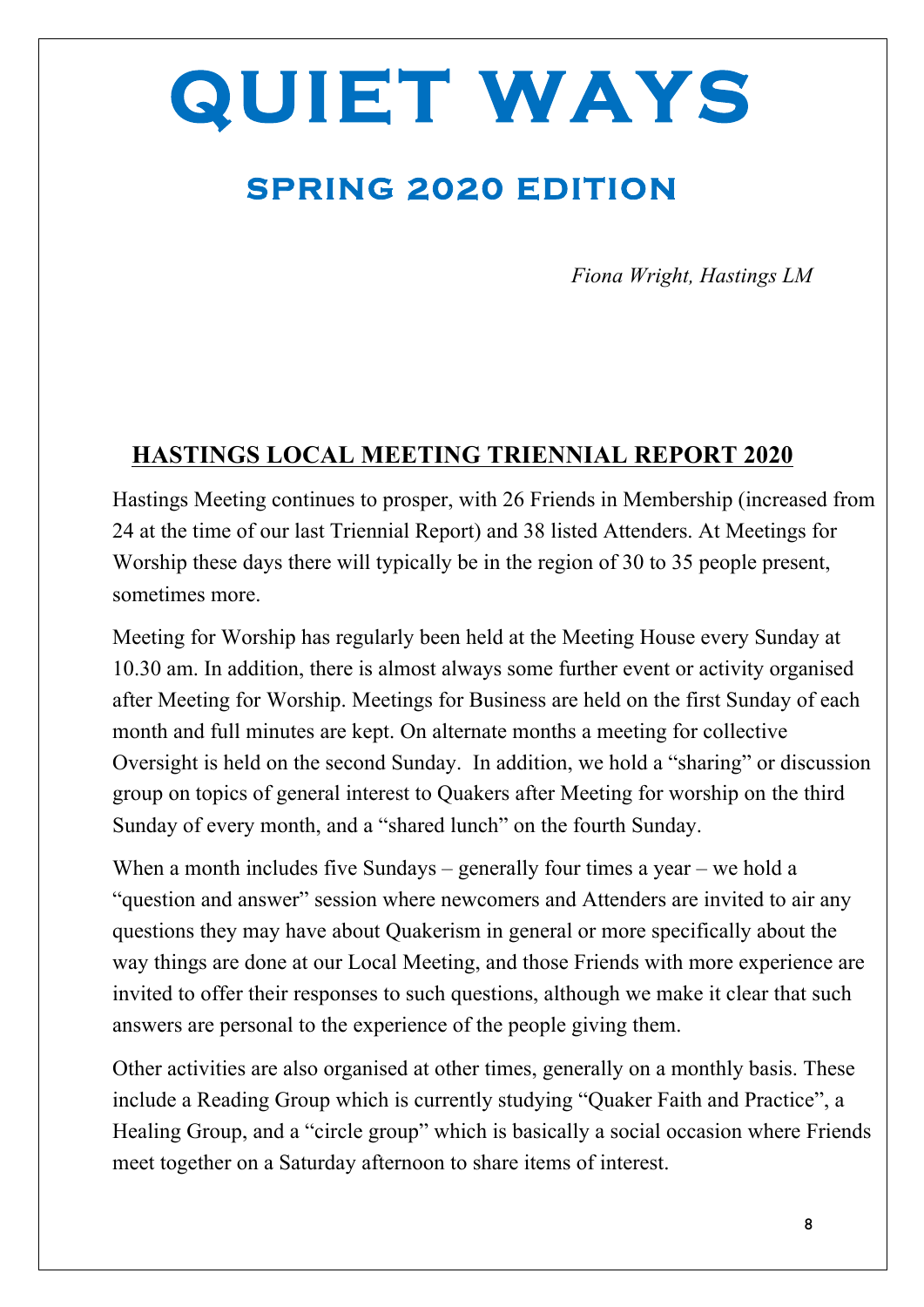## **SPRING 2020 EDITION**

*Fiona Wright, Hastings LM*

#### **HASTINGS LOCAL MEETING TRIENNIAL REPORT 2020**

Hastings Meeting continues to prosper, with 26 Friends in Membership (increased from 24 at the time of our last Triennial Report) and 38 listed Attenders. At Meetings for Worship these days there will typically be in the region of 30 to 35 people present, sometimes more.

Meeting for Worship has regularly been held at the Meeting House every Sunday at 10.30 am. In addition, there is almost always some further event or activity organised after Meeting for Worship. Meetings for Business are held on the first Sunday of each month and full minutes are kept. On alternate months a meeting for collective Oversight is held on the second Sunday. In addition, we hold a "sharing" or discussion group on topics of general interest to Quakers after Meeting for worship on the third Sunday of every month, and a "shared lunch" on the fourth Sunday.

When a month includes five Sundays – generally four times a year – we hold a "question and answer" session where newcomers and Attenders are invited to air any questions they may have about Quakerism in general or more specifically about the way things are done at our Local Meeting, and those Friends with more experience are invited to offer their responses to such questions, although we make it clear that such answers are personal to the experience of the people giving them.

Other activities are also organised at other times, generally on a monthly basis. These include a Reading Group which is currently studying "Quaker Faith and Practice", a Healing Group, and a "circle group" which is basically a social occasion where Friends meet together on a Saturday afternoon to share items of interest.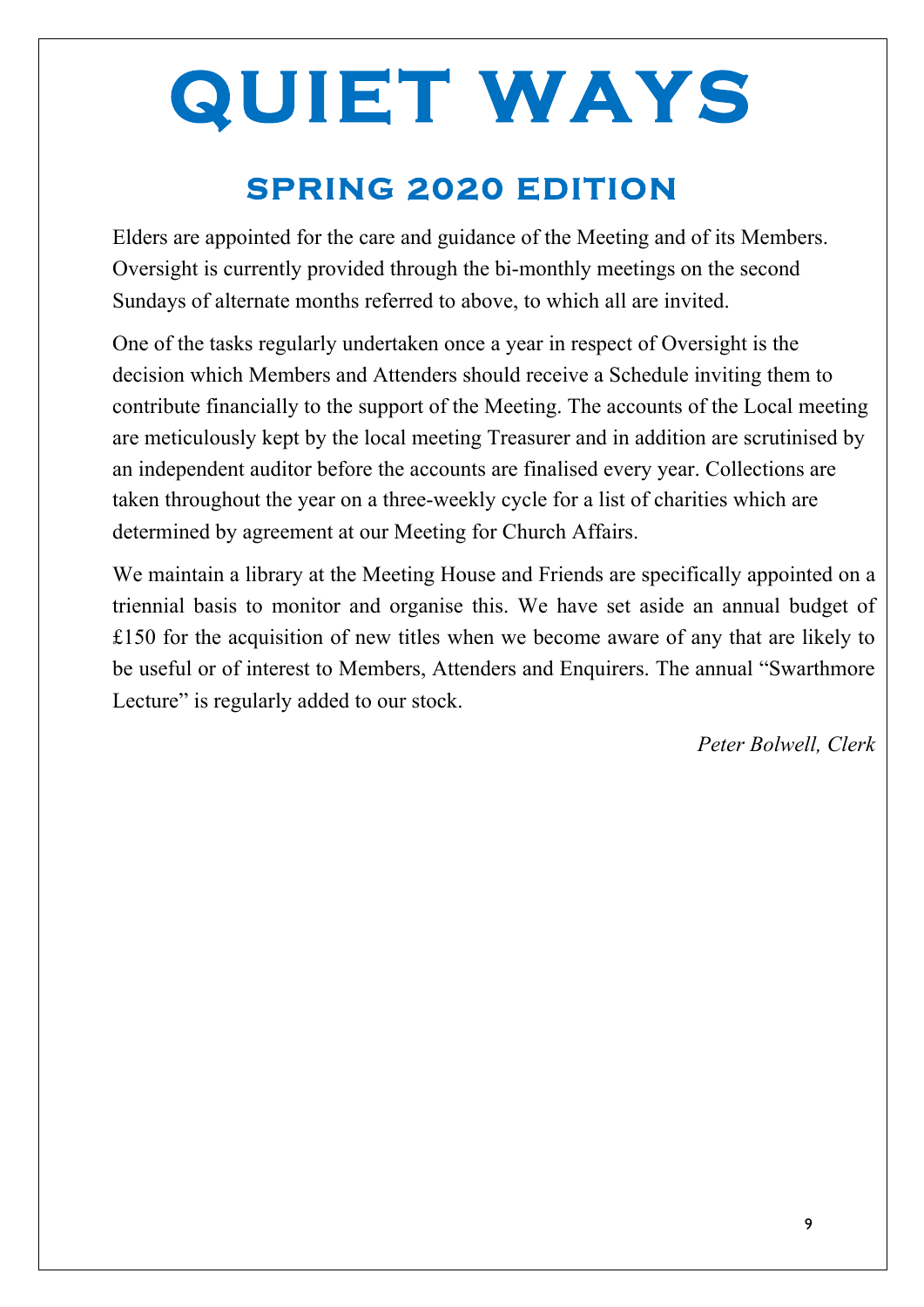## **SPRING 2020 EDITION**

Elders are appointed for the care and guidance of the Meeting and of its Members. Oversight is currently provided through the bi-monthly meetings on the second Sundays of alternate months referred to above, to which all are invited.

One of the tasks regularly undertaken once a year in respect of Oversight is the decision which Members and Attenders should receive a Schedule inviting them to contribute financially to the support of the Meeting. The accounts of the Local meeting are meticulously kept by the local meeting Treasurer and in addition are scrutinised by an independent auditor before the accounts are finalised every year. Collections are taken throughout the year on a three-weekly cycle for a list of charities which are determined by agreement at our Meeting for Church Affairs.

We maintain a library at the Meeting House and Friends are specifically appointed on a triennial basis to monitor and organise this. We have set aside an annual budget of £150 for the acquisition of new titles when we become aware of any that are likely to be useful or of interest to Members, Attenders and Enquirers. The annual "Swarthmore Lecture" is regularly added to our stock.

*Peter Bolwell, Clerk*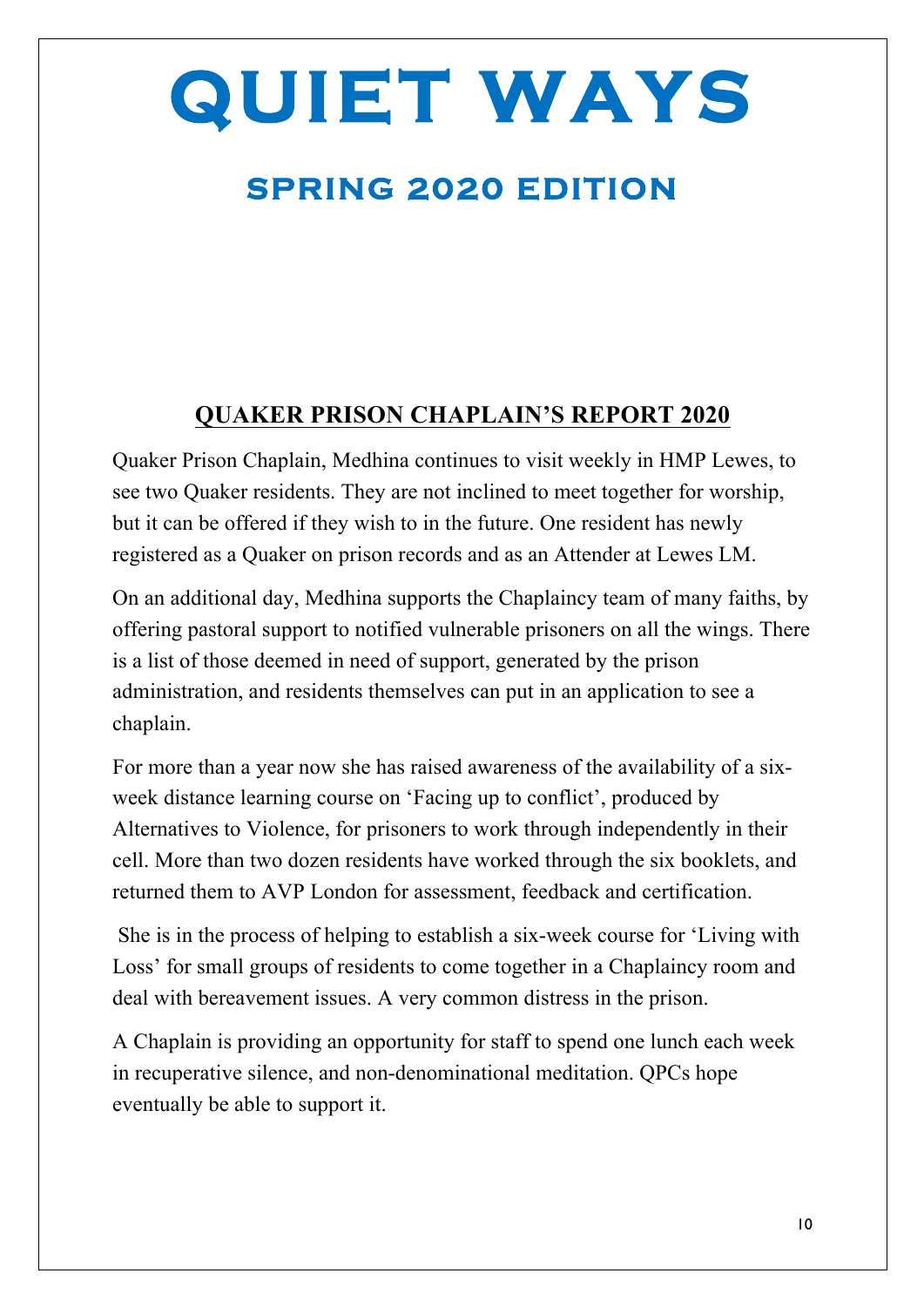## **SPRING 2020 EDITION**

### **QUAKER PRISON CHAPLAIN'S REPORT 2020**

Quaker Prison Chaplain, Medhina continues to visit weekly in HMP Lewes, to see two Quaker residents. They are not inclined to meet together for worship, but it can be offered if they wish to in the future. One resident has newly registered as a Quaker on prison records and as an Attender at Lewes LM.

On an additional day, Medhina supports the Chaplaincy team of many faiths, by offering pastoral support to notified vulnerable prisoners on all the wings. There is a list of those deemed in need of support, generated by the prison administration, and residents themselves can put in an application to see a chaplain.

For more than a year now she has raised awareness of the availability of a sixweek distance learning course on 'Facing up to conflict', produced by Alternatives to Violence, for prisoners to work through independently in their cell. More than two dozen residents have worked through the six booklets, and returned them to AVP London for assessment, feedback and certification.

She is in the process of helping to establish a six-week course for 'Living with Loss' for small groups of residents to come together in a Chaplaincy room and deal with bereavement issues. A very common distress in the prison.

A Chaplain is providing an opportunity for staff to spend one lunch each week in recuperative silence, and non-denominational meditation. QPCs hope eventually be able to support it.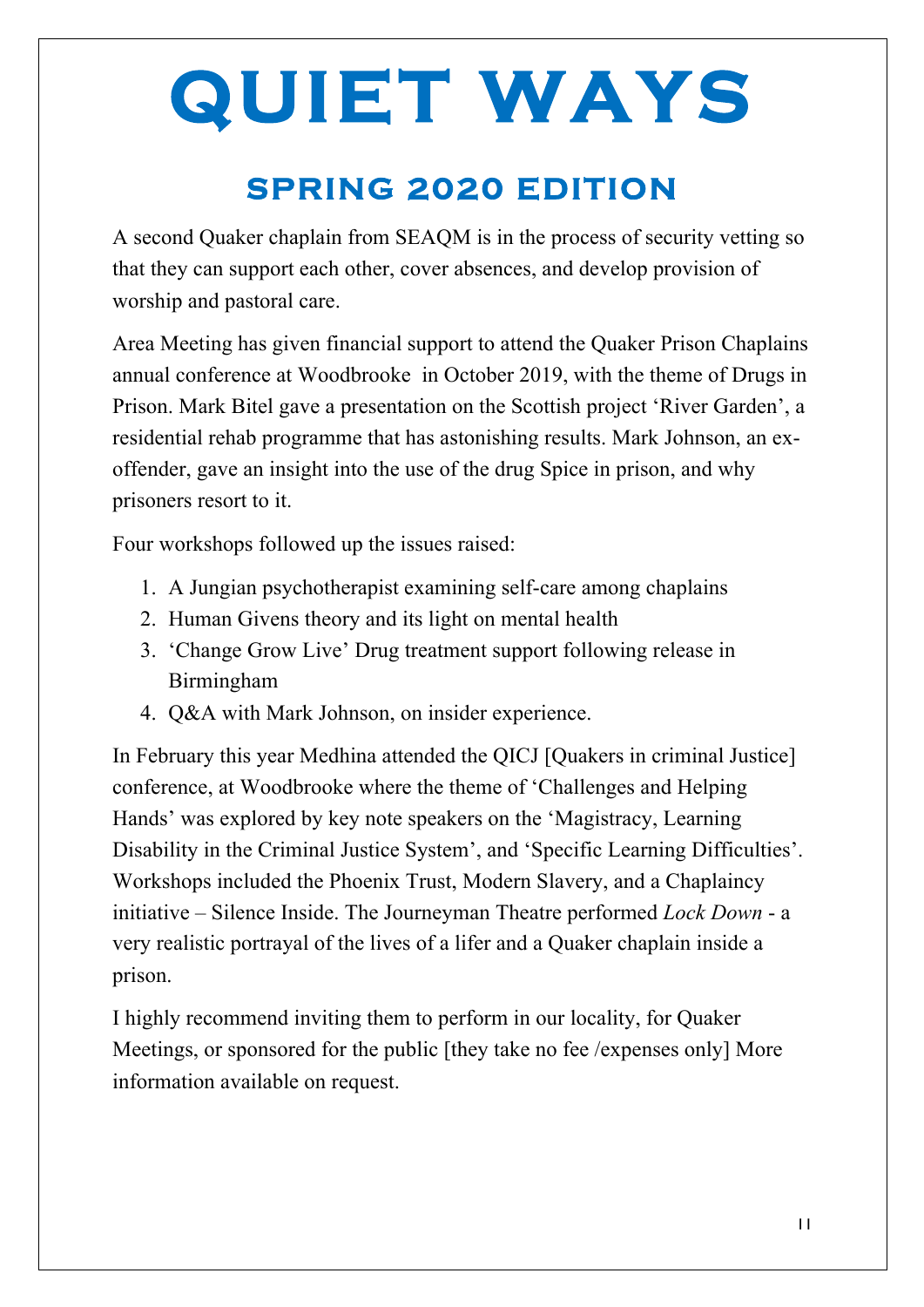## **SPRING 2020 EDITION**

A second Quaker chaplain from SEAQM is in the process of security vetting so that they can support each other, cover absences, and develop provision of worship and pastoral care.

Area Meeting has given financial support to attend the Quaker Prison Chaplains annual conference at Woodbrooke in October 2019, with the theme of Drugs in Prison. Mark Bitel gave a presentation on the Scottish project 'River Garden', a residential rehab programme that has astonishing results. Mark Johnson, an exoffender, gave an insight into the use of the drug Spice in prison, and why prisoners resort to it.

Four workshops followed up the issues raised:

- 1. A Jungian psychotherapist examining self-care among chaplains
- 2. Human Givens theory and its light on mental health
- 3. 'Change Grow Live' Drug treatment support following release in Birmingham
- 4. Q&A with Mark Johnson, on insider experience.

In February this year Medhina attended the QICJ [Quakers in criminal Justice] conference, at Woodbrooke where the theme of 'Challenges and Helping Hands' was explored by key note speakers on the 'Magistracy, Learning Disability in the Criminal Justice System', and 'Specific Learning Difficulties'. Workshops included the Phoenix Trust, Modern Slavery, and a Chaplaincy initiative – Silence Inside. The Journeyman Theatre performed *Lock Down* - a very realistic portrayal of the lives of a lifer and a Quaker chaplain inside a prison.

I highly recommend inviting them to perform in our locality, for Quaker Meetings, or sponsored for the public [they take no fee /expenses only] More information available on request.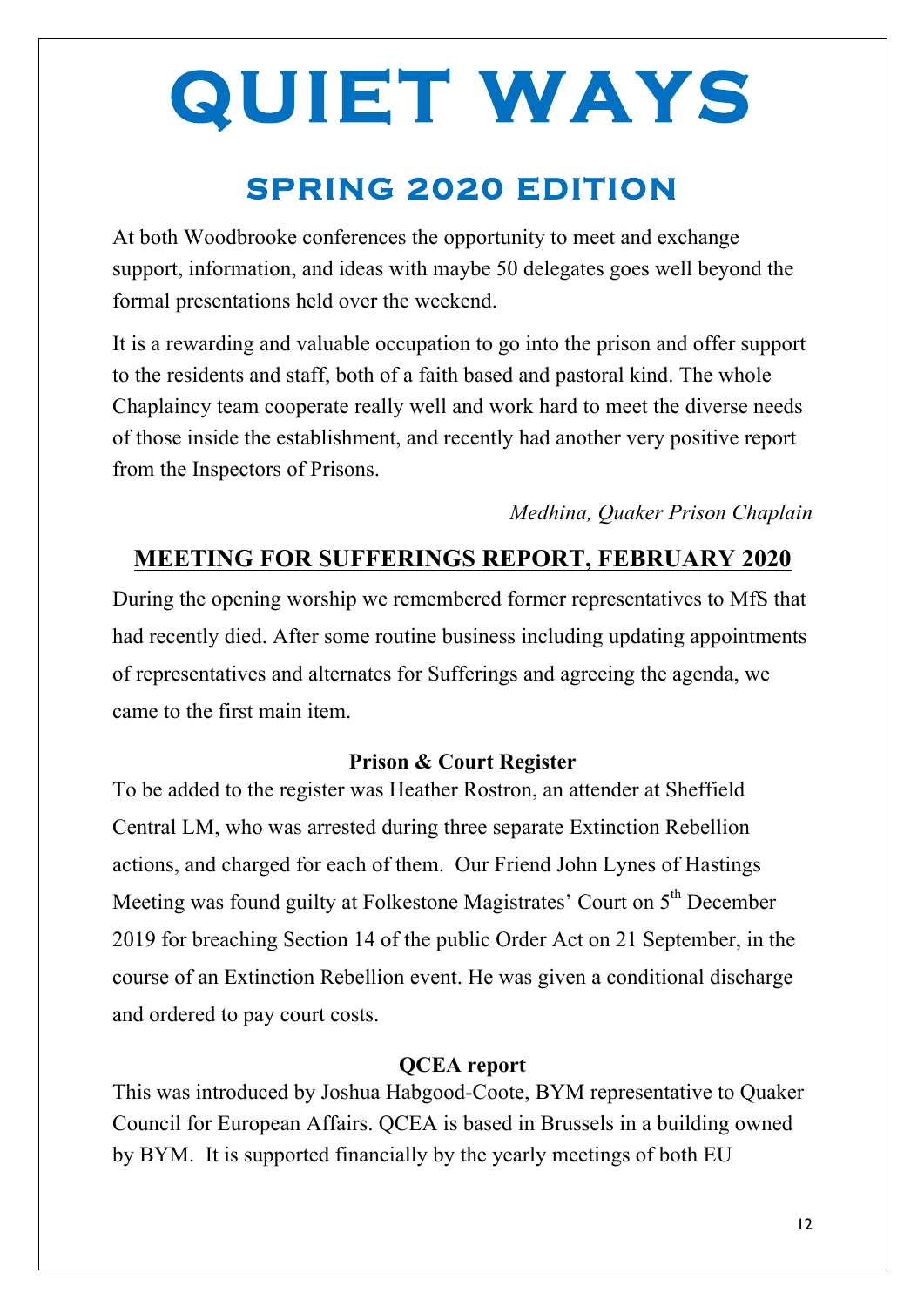## **SPRING 2020 EDITION**

At both Woodbrooke conferences the opportunity to meet and exchange support, information, and ideas with maybe 50 delegates goes well beyond the formal presentations held over the weekend.

It is a rewarding and valuable occupation to go into the prison and offer support to the residents and staff, both of a faith based and pastoral kind. The whole Chaplaincy team cooperate really well and work hard to meet the diverse needs of those inside the establishment, and recently had another very positive report from the Inspectors of Prisons.

*Medhina, Quaker Prison Chaplain* 

### **MEETING FOR SUFFERINGS REPORT, FEBRUARY 2020**

During the opening worship we remembered former representatives to MfS that had recently died. After some routine business including updating appointments of representatives and alternates for Sufferings and agreeing the agenda, we came to the first main item.

#### **Prison & Court Register**

To be added to the register was Heather Rostron, an attender at Sheffield Central LM, who was arrested during three separate Extinction Rebellion actions, and charged for each of them. Our Friend John Lynes of Hastings Meeting was found guilty at Folkestone Magistrates' Court on 5<sup>th</sup> December 2019 for breaching Section 14 of the public Order Act on 21 September, in the course of an Extinction Rebellion event. He was given a conditional discharge and ordered to pay court costs.

#### **QCEA report**

This was introduced by Joshua Habgood-Coote, BYM representative to Quaker Council for European Affairs. QCEA is based in Brussels in a building owned by BYM. It is supported financially by the yearly meetings of both EU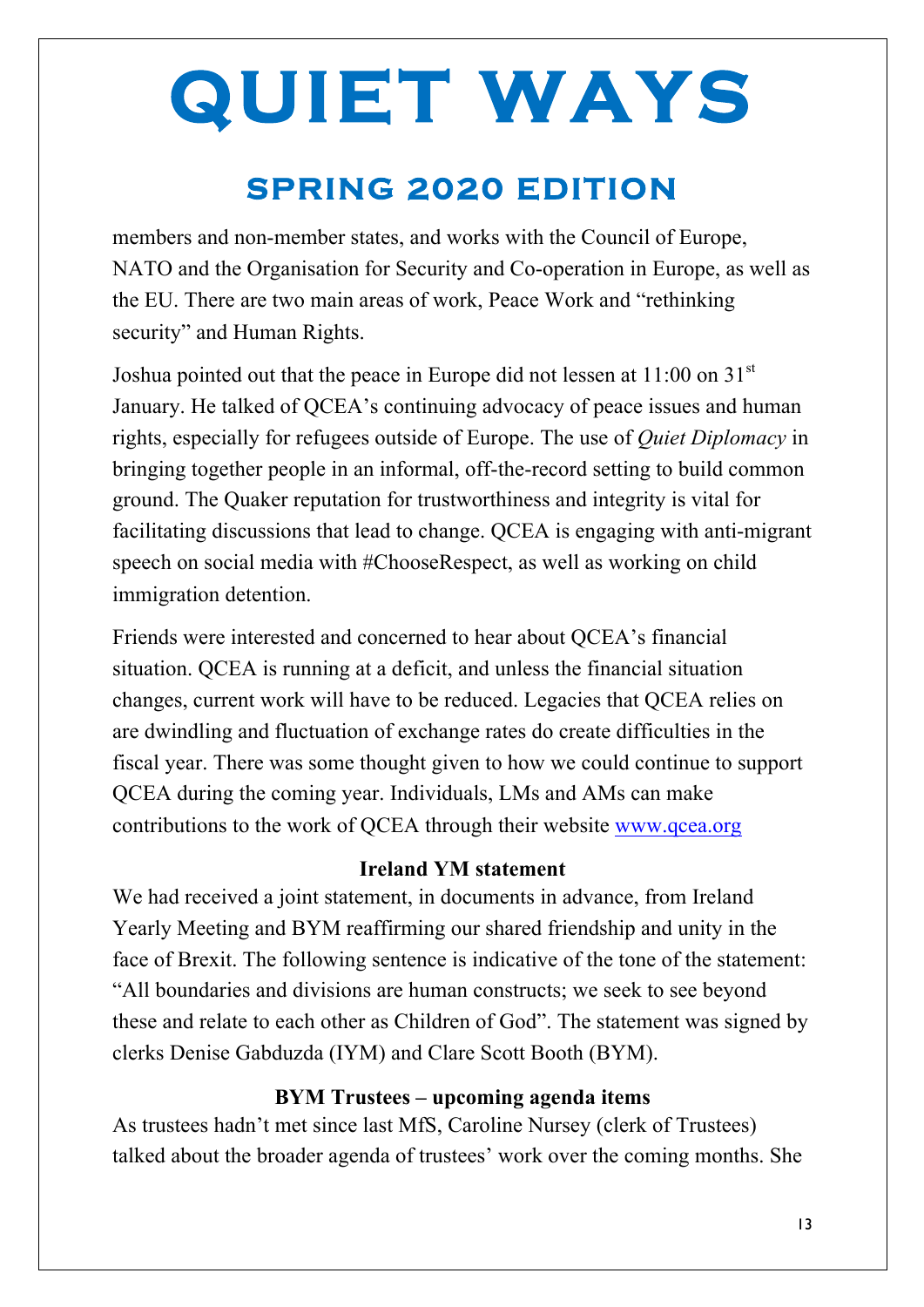## **SPRING 2020 EDITION**

members and non-member states, and works with the Council of Europe, NATO and the Organisation for Security and Co-operation in Europe, as well as the EU. There are two main areas of work, Peace Work and "rethinking security" and Human Rights.

Joshua pointed out that the peace in Europe did not lessen at  $11:00$  on  $31<sup>st</sup>$ January. He talked of QCEA's continuing advocacy of peace issues and human rights, especially for refugees outside of Europe. The use of *Quiet Diplomacy* in bringing together people in an informal, off-the-record setting to build common ground. The Quaker reputation for trustworthiness and integrity is vital for facilitating discussions that lead to change. QCEA is engaging with anti-migrant speech on social media with #ChooseRespect, as well as working on child immigration detention.

Friends were interested and concerned to hear about QCEA's financial situation. QCEA is running at a deficit, and unless the financial situation changes, current work will have to be reduced. Legacies that QCEA relies on are dwindling and fluctuation of exchange rates do create difficulties in the fiscal year. There was some thought given to how we could continue to support QCEA during the coming year. Individuals, LMs and AMs can make contributions to the work of QCEA through their website www.qcea.org

#### **Ireland YM statement**

We had received a joint statement, in documents in advance, from Ireland Yearly Meeting and BYM reaffirming our shared friendship and unity in the face of Brexit. The following sentence is indicative of the tone of the statement: "All boundaries and divisions are human constructs; we seek to see beyond these and relate to each other as Children of God". The statement was signed by clerks Denise Gabduzda (IYM) and Clare Scott Booth (BYM).

#### **BYM Trustees – upcoming agenda items**

As trustees hadn't met since last MfS, Caroline Nursey (clerk of Trustees) talked about the broader agenda of trustees' work over the coming months. She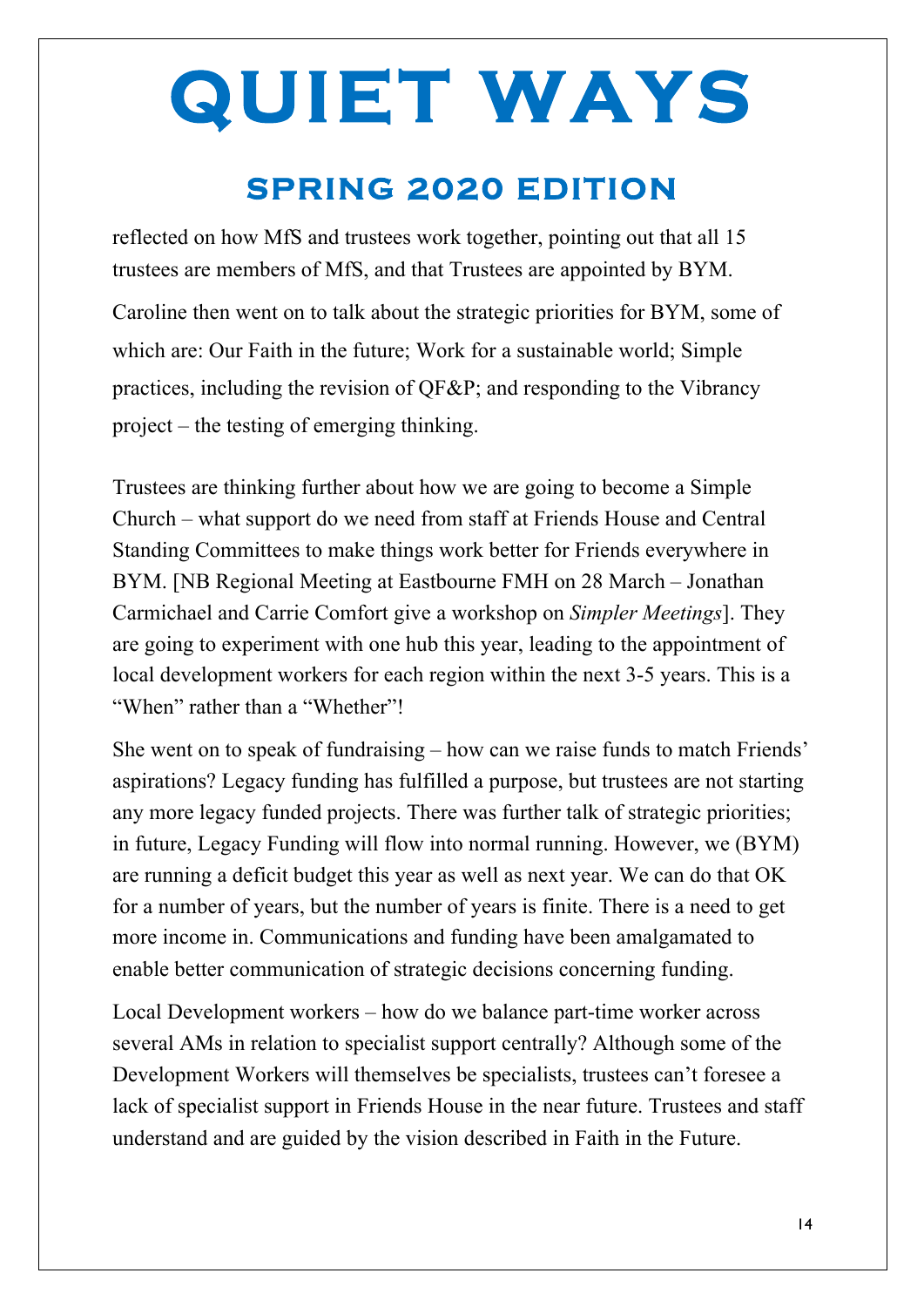### **SPRING 2020 EDITION**

reflected on how MfS and trustees work together, pointing out that all 15 trustees are members of MfS, and that Trustees are appointed by BYM.

Caroline then went on to talk about the strategic priorities for BYM, some of which are: Our Faith in the future; Work for a sustainable world; Simple practices, including the revision of QF&P; and responding to the Vibrancy project – the testing of emerging thinking.

Trustees are thinking further about how we are going to become a Simple Church – what support do we need from staff at Friends House and Central Standing Committees to make things work better for Friends everywhere in BYM. [NB Regional Meeting at Eastbourne FMH on 28 March – Jonathan Carmichael and Carrie Comfort give a workshop on *Simpler Meetings*]. They are going to experiment with one hub this year, leading to the appointment of local development workers for each region within the next 3-5 years. This is a "When" rather than a "Whether"!

She went on to speak of fundraising – how can we raise funds to match Friends' aspirations? Legacy funding has fulfilled a purpose, but trustees are not starting any more legacy funded projects. There was further talk of strategic priorities; in future, Legacy Funding will flow into normal running. However, we (BYM) are running a deficit budget this year as well as next year. We can do that OK for a number of years, but the number of years is finite. There is a need to get more income in. Communications and funding have been amalgamated to enable better communication of strategic decisions concerning funding.

Local Development workers – how do we balance part-time worker across several AMs in relation to specialist support centrally? Although some of the Development Workers will themselves be specialists, trustees can't foresee a lack of specialist support in Friends House in the near future. Trustees and staff understand and are guided by the vision described in Faith in the Future.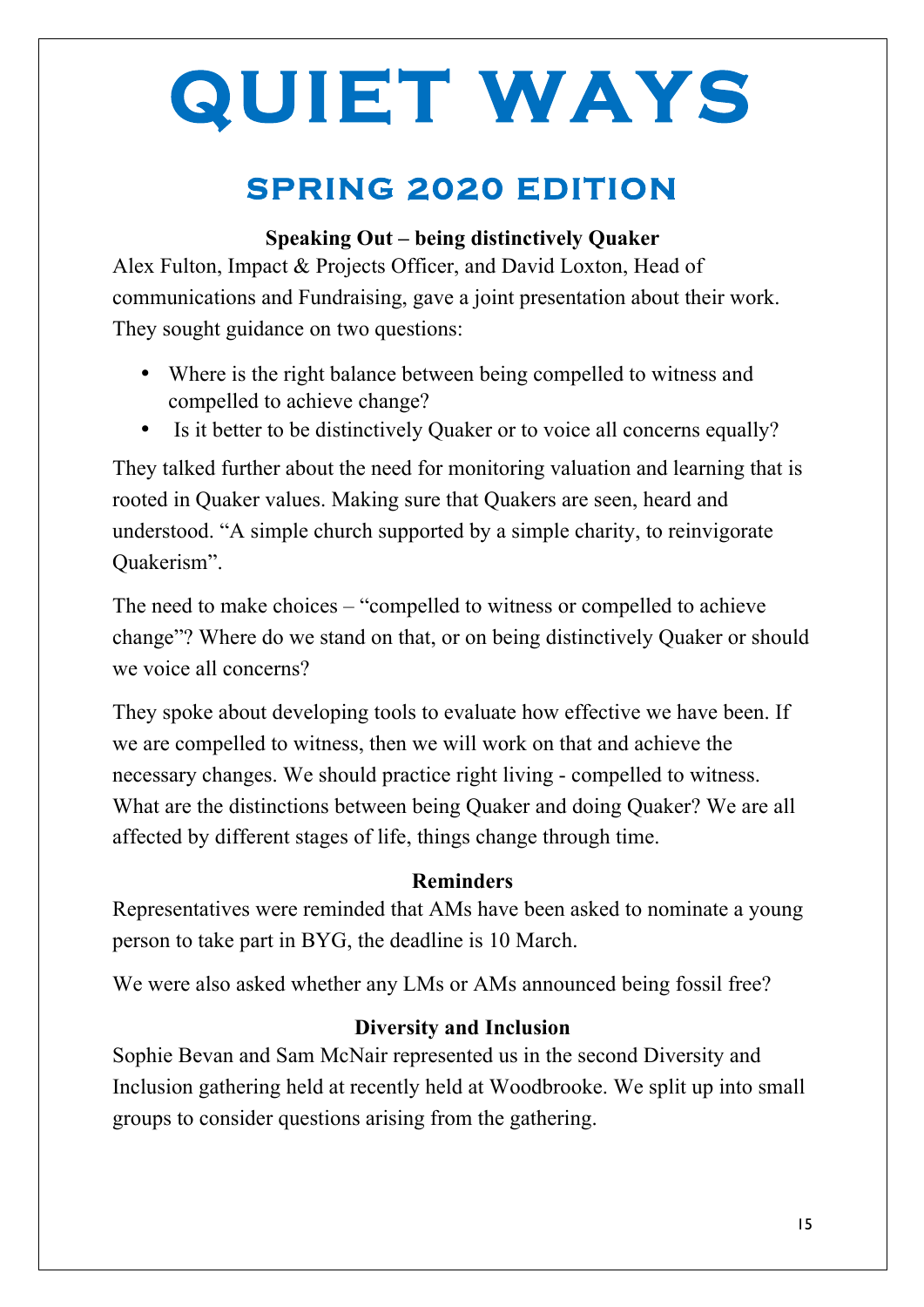## **SPRING 2020 EDITION**

#### **Speaking Out – being distinctively Quaker**

Alex Fulton, Impact & Projects Officer, and David Loxton, Head of communications and Fundraising, gave a joint presentation about their work. They sought guidance on two questions:

- Where is the right balance between being compelled to witness and compelled to achieve change?
- Is it better to be distinctively Quaker or to voice all concerns equally?

They talked further about the need for monitoring valuation and learning that is rooted in Quaker values. Making sure that Quakers are seen, heard and understood. "A simple church supported by a simple charity, to reinvigorate Quakerism".

The need to make choices – "compelled to witness or compelled to achieve change"? Where do we stand on that, or on being distinctively Quaker or should we voice all concerns?

They spoke about developing tools to evaluate how effective we have been. If we are compelled to witness, then we will work on that and achieve the necessary changes. We should practice right living - compelled to witness. What are the distinctions between being Quaker and doing Quaker? We are all affected by different stages of life, things change through time.

#### **Reminders**

Representatives were reminded that AMs have been asked to nominate a young person to take part in BYG, the deadline is 10 March.

We were also asked whether any LMs or AMs announced being fossil free?

#### **Diversity and Inclusion**

Sophie Bevan and Sam McNair represented us in the second Diversity and Inclusion gathering held at recently held at Woodbrooke. We split up into small groups to consider questions arising from the gathering.